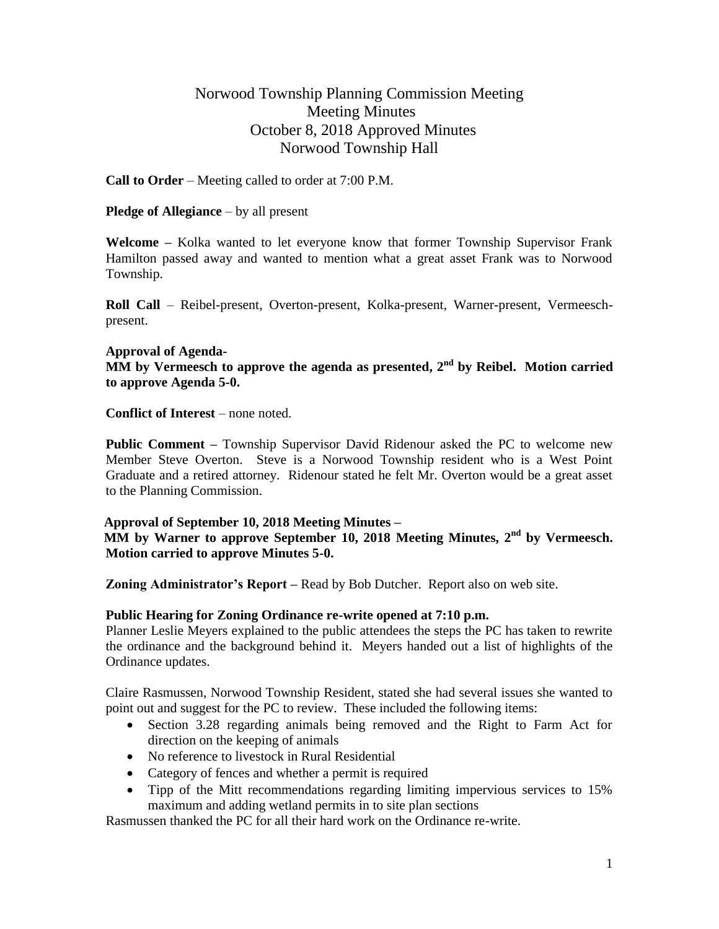# Norwood Township Planning Commission Meeting Meeting Minutes October 8, 2018 Approved Minutes Norwood Township Hall

**Call to Order** – Meeting called to order at 7:00 P.M.

## **Pledge of Allegiance** – by all present

**Welcome –** Kolka wanted to let everyone know that former Township Supervisor Frank Hamilton passed away and wanted to mention what a great asset Frank was to Norwood Township.

**Roll Call** – Reibel-present, Overton-present, Kolka-present, Warner-present, Vermeeschpresent.

#### **Approval of Agenda-**

**MM** by Vermeesch to approve the agenda as presented, 2<sup>nd</sup> by Reibel. Motion carried **to approve Agenda 5-0.**

**Conflict of Interest** – none noted.

**Public Comment –** Township Supervisor David Ridenour asked the PC to welcome new Member Steve Overton. Steve is a Norwood Township resident who is a West Point Graduate and a retired attorney. Ridenour stated he felt Mr. Overton would be a great asset to the Planning Commission.

#### **Approval of September 10, 2018 Meeting Minutes –**

 **MM by Warner to approve September 10, 2018 Meeting Minutes, 2nd by Vermeesch. Motion carried to approve Minutes 5-0.**

**Zoning Administrator's Report –** Read by Bob Dutcher. Report also on web site.

# **Public Hearing for Zoning Ordinance re-write opened at 7:10 p.m.**

Planner Leslie Meyers explained to the public attendees the steps the PC has taken to rewrite the ordinance and the background behind it. Meyers handed out a list of highlights of the Ordinance updates.

Claire Rasmussen, Norwood Township Resident, stated she had several issues she wanted to point out and suggest for the PC to review. These included the following items:

- Section 3.28 regarding animals being removed and the Right to Farm Act for direction on the keeping of animals
- No reference to livestock in Rural Residential
- Category of fences and whether a permit is required
- Tipp of the Mitt recommendations regarding limiting impervious services to 15% maximum and adding wetland permits in to site plan sections

Rasmussen thanked the PC for all their hard work on the Ordinance re-write.